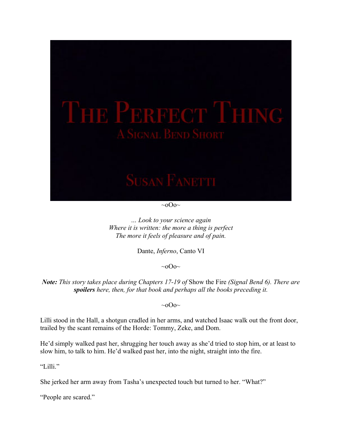

 $\sim 000$ ~

*… Look to your science again Where it is written: the more a thing is perfect The more it feels of pleasure and of pain.*

Dante, *Inferno*, Canto VI

 $\sim 000$ ~

*Note: This story takes place during Chapters 17-19 of* Show the Fire *(Signal Bend 6). There are spoilers here, then, for that book and perhaps all the books preceding it.*

 $\sim 0$ 0 $\sim$ 

Lilli stood in the Hall, a shotgun cradled in her arms, and watched Isaac walk out the front door, trailed by the scant remains of the Horde: Tommy, Zeke, and Dom.

He'd simply walked past her, shrugging her touch away as she'd tried to stop him, or at least to slow him, to talk to him. He'd walked past her, into the night, straight into the fire.

"Lilli."

She jerked her arm away from Tasha's unexpected touch but turned to her. "What?"

"People are scared."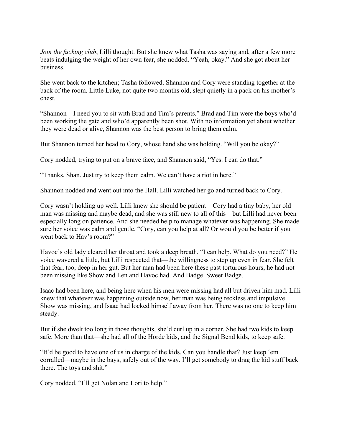*Join the fucking club*, Lilli thought. But she knew what Tasha was saying and, after a few more beats indulging the weight of her own fear, she nodded. "Yeah, okay." And she got about her business.

She went back to the kitchen; Tasha followed. Shannon and Cory were standing together at the back of the room. Little Luke, not quite two months old, slept quietly in a pack on his mother's chest.

"Shannon—I need you to sit with Brad and Tim's parents." Brad and Tim were the boys who'd been working the gate and who'd apparently been shot. With no information yet about whether they were dead or alive, Shannon was the best person to bring them calm.

But Shannon turned her head to Cory, whose hand she was holding. "Will you be okay?"

Cory nodded, trying to put on a brave face, and Shannon said, "Yes. I can do that."

"Thanks, Shan. Just try to keep them calm. We can't have a riot in here."

Shannon nodded and went out into the Hall. Lilli watched her go and turned back to Cory.

Cory wasn't holding up well. Lilli knew she should be patient—Cory had a tiny baby, her old man was missing and maybe dead, and she was still new to all of this—but Lilli had never been especially long on patience. And she needed help to manage whatever was happening. She made sure her voice was calm and gentle. "Cory, can you help at all? Or would you be better if you went back to Hav's room?"

Havoc's old lady cleared her throat and took a deep breath. "I can help. What do you need?" He voice wavered a little, but Lilli respected that—the willingness to step up even in fear. She felt that fear, too, deep in her gut. But her man had been here these past torturous hours, he had not been missing like Show and Len and Havoc had. And Badge. Sweet Badge.

Isaac had been here, and being here when his men were missing had all but driven him mad. Lilli knew that whatever was happening outside now, her man was being reckless and impulsive. Show was missing, and Isaac had locked himself away from her. There was no one to keep him steady.

But if she dwelt too long in those thoughts, she'd curl up in a corner. She had two kids to keep safe. More than that—she had all of the Horde kids, and the Signal Bend kids, to keep safe.

"It'd be good to have one of us in charge of the kids. Can you handle that? Just keep 'em corralled—maybe in the bays, safely out of the way. I'll get somebody to drag the kid stuff back there. The toys and shit."

Cory nodded. "I'll get Nolan and Lori to help."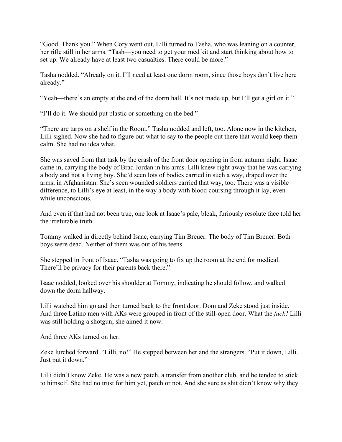"Good. Thank you." When Cory went out, Lilli turned to Tasha, who was leaning on a counter, her rifle still in her arms. "Tash—you need to get your med kit and start thinking about how to set up. We already have at least two casualties. There could be more."

Tasha nodded. "Already on it. I'll need at least one dorm room, since those boys don't live here already."

"Yeah—there's an empty at the end of the dorm hall. It's not made up, but I'll get a girl on it."

"I'll do it. We should put plastic or something on the bed."

"There are tarps on a shelf in the Room." Tasha nodded and left, too. Alone now in the kitchen, Lilli sighed. Now she had to figure out what to say to the people out there that would keep them calm. She had no idea what.

She was saved from that task by the crash of the front door opening in from autumn night. Isaac came in, carrying the body of Brad Jordan in his arms. Lilli knew right away that he was carrying a body and not a living boy. She'd seen lots of bodies carried in such a way, draped over the arms, in Afghanistan. She's seen wounded soldiers carried that way, too. There was a visible difference, to Lilli's eye at least, in the way a body with blood coursing through it lay, even while unconscious.

And even if that had not been true, one look at Isaac's pale, bleak, furiously resolute face told her the irrefutable truth.

Tommy walked in directly behind Isaac, carrying Tim Breuer. The body of Tim Breuer. Both boys were dead. Neither of them was out of his teens.

She stepped in front of Isaac. "Tasha was going to fix up the room at the end for medical. There'll be privacy for their parents back there."

Isaac nodded, looked over his shoulder at Tommy, indicating he should follow, and walked down the dorm hallway.

Lilli watched him go and then turned back to the front door. Dom and Zeke stood just inside. And three Latino men with AKs were grouped in front of the still-open door. What the *fuck*? Lilli was still holding a shotgun; she aimed it now.

And three AKs turned on her.

Zeke lurched forward. "Lilli, no!" He stepped between her and the strangers. "Put it down, Lilli. Just put it down."

Lilli didn't know Zeke. He was a new patch, a transfer from another club, and he tended to stick to himself. She had no trust for him yet, patch or not. And she sure as shit didn't know why they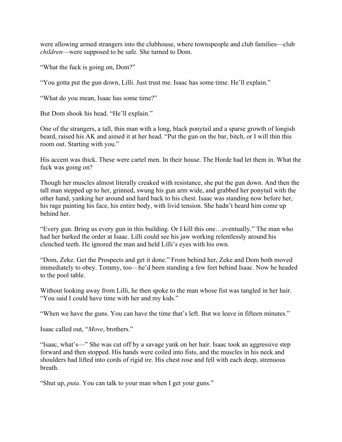were allowing armed strangers into the clubhouse, where townspeople and club families—club *children*—were supposed to be safe. She turned to Dom.

"What the fuck is going on, Dom?"

"You gotta put the gun down, Lilli. Just trust me. Isaac has some time. He'll explain."

"What do you mean, Isaac has some time?"

But Dom shook his head. "He'll explain."

One of the strangers, a tall, thin man with a long, black ponytail and a sparse growth of longish beard, raised his AK and aimed it at her head. "Put the gun on the bar, bitch, or I will thin this room out. Starting with you."

His accent was thick. These were cartel men. In their house. The Horde had let them in. What the fuck was going on?

Though her muscles almost literally creaked with resistance, she put the gun down. And then the tall man stepped up to her, grinned, swung his gun arm wide, and grabbed her ponytail with the other hand, yanking her around and hard back to his chest. Isaac was standing now before her, his rage painting his face, his entire body, with livid tension. She hadn't heard him come up behind her.

"Every gun. Bring us every gun in this building. Or I kill this one…eventually." The man who had her barked the order at Isaac. Lilli could see his jaw working relentlessly around his clenched teeth. He ignored the man and held Lilli's eyes with his own.

"Dom, Zeke. Get the Prospects and get it done." From behind her, Zeke and Dom both moved immediately to obey. Tommy, too—he'd been standing a few feet behind Isaac. Now he headed to the pool table.

Without looking away from Lilli, he then spoke to the man whose fist was tangled in her hair. "You said I could have time with her and my kids."

"When we have the guns. You can have the time that's left. But we leave in fifteen minutes."

Isaac called out, "*Move*, brothers."

"Isaac, what's—" She was cut off by a savage yank on her hair. Isaac took an aggressive step forward and then stopped. His hands were coiled into fists, and the muscles in his neck and shoulders had lifted into cords of rigid ire. His chest rose and fell with each deep, strenuous breath.

"Shut up, *puta*. You can talk to your man when I get your guns."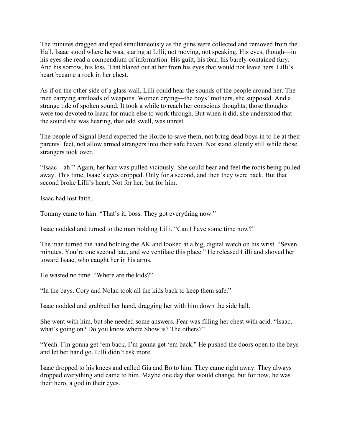The minutes dragged and sped simultaneously as the guns were collected and removed from the Hall. Isaac stood where he was, staring at Lilli, not moving, not speaking. His eyes, though—in his eyes she read a compendium of information. His guilt, his fear, his barely-contained fury. And his sorrow, his loss. That blazed out at her from his eyes that would not leave hers. Lilli's heart became a rock in her chest.

As if on the other side of a glass wall, Lilli could hear the sounds of the people around her. The men carrying armloads of weapons. Women crying—the boys' mothers, she supposed. And a strange tide of spoken sound. It took a while to reach her conscious thoughts; those thoughts were too devoted to Isaac for much else to work through. But when it did, she understood that the sound she was hearing, that odd swell, was unrest.

The people of Signal Bend expected the Horde to save them, not bring dead boys in to lie at their parents' feet, not allow armed strangers into their safe haven. Not stand silently still while those strangers took over.

"Isaac—ah!" Again, her hair was pulled viciously. She could hear and feel the roots being pulled away. This time, Isaac's eyes dropped. Only for a second, and then they were back. But that second broke Lilli's heart. Not for her, but for him.

Isaac had lost faith.

Tommy came to him. "That's it, boss. They got everything now."

Isaac nodded and turned to the man holding Lilli. "Can I have some time now?"

The man turned the hand holding the AK and looked at a big, digital watch on his wrist. "Seven minutes. You're one second late, and we ventilate this place." He released Lilli and shoved her toward Isaac, who caught her in his arms.

He wasted no time. "Where are the kids?"

"In the bays. Cory and Nolan took all the kids back to keep them safe."

Isaac nodded and grabbed her hand, dragging her with him down the side hall.

She went with him, but she needed some answers. Fear was filling her chest with acid. "Isaac, what's going on? Do you know where Show is? The others?"

"Yeah. I'm gonna get 'em back. I'm gonna get 'em back." He pushed the doors open to the bays and let her hand go. Lilli didn't ask more.

Isaac dropped to his knees and called Gia and Bo to him. They came right away. They always dropped everything and came to him. Maybe one day that would change, but for now, he was their hero, a god in their eyes.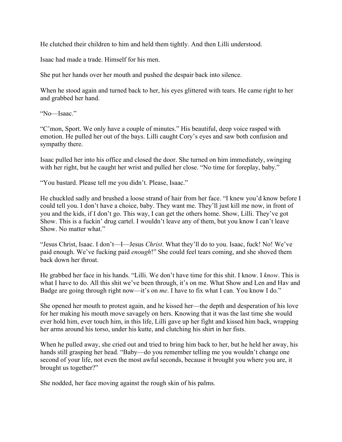He clutched their children to him and held them tightly. And then Lilli understood.

Isaac had made a trade. Himself for his men.

She put her hands over her mouth and pushed the despair back into silence.

When he stood again and turned back to her, his eyes glittered with tears. He came right to her and grabbed her hand.

"No—Isaac."

"C'mon, Sport. We only have a couple of minutes." His beautiful, deep voice rasped with emotion. He pulled her out of the bays. Lilli caught Cory's eyes and saw both confusion and sympathy there.

Isaac pulled her into his office and closed the door. She turned on him immediately, swinging with her right, but he caught her wrist and pulled her close. "No time for foreplay, baby."

"You bastard. Please tell me you didn't. Please, Isaac."

He chuckled sadly and brushed a loose strand of hair from her face. "I knew you'd know before I could tell you. I don't have a choice, baby. They want me. They'll just kill me now, in front of you and the kids, if I don't go. This way, I can get the others home. Show, Lilli. They've got Show. This is a fuckin' drug cartel. I wouldn't leave any of them, but you know I can't leave Show. No matter what."

"Jesus Christ, Isaac. I don't—I—Jesus *Christ*. What they'll do to you. Isaac, fuck! No! We've paid enough. We've fucking paid *enough*!" She could feel tears coming, and she shoved them back down her throat.

He grabbed her face in his hands. "Lilli. We don't have time for this shit. I know. I *know*. This is what I have to do. All this shit we've been through, it's on me. What Show and Len and Hav and Badge are going through right now—it's on *me*. I have to fix what I can. You know I do."

She opened her mouth to protest again, and he kissed her—the depth and desperation of his love for her making his mouth move savagely on hers. Knowing that it was the last time she would ever hold him, ever touch him, in this life, Lilli gave up her fight and kissed him back, wrapping her arms around his torso, under his kutte, and clutching his shirt in her fists.

When he pulled away, she cried out and tried to bring him back to her, but he held her away, his hands still grasping her head. "Baby—do you remember telling me you wouldn't change one second of your life, not even the most awful seconds, because it brought you where you are, it brought us together?"

She nodded, her face moving against the rough skin of his palms.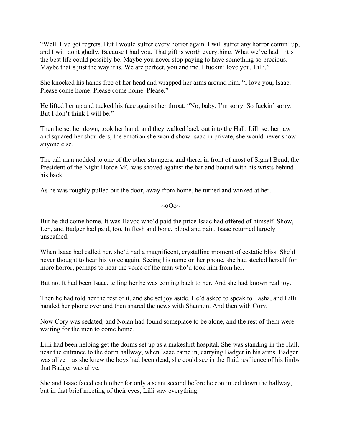"Well, I've got regrets. But I would suffer every horror again. I will suffer any horror comin' up, and I will do it gladly. Because I had you. That gift is worth everything. What we've had—it's the best life could possibly be. Maybe you never stop paying to have something so precious. Maybe that's just the way it is. We are perfect, you and me. I fuckin' love you, Lilli."

She knocked his hands free of her head and wrapped her arms around him. "I love you, Isaac. Please come home. Please come home. Please."

He lifted her up and tucked his face against her throat. "No, baby. I'm sorry. So fuckin' sorry. But I don't think I will be."

Then he set her down, took her hand, and they walked back out into the Hall. Lilli set her jaw and squared her shoulders; the emotion she would show Isaac in private, she would never show anyone else.

The tall man nodded to one of the other strangers, and there, in front of most of Signal Bend, the President of the Night Horde MC was shoved against the bar and bound with his wrists behind his back.

As he was roughly pulled out the door, away from home, he turned and winked at her.

 $\sim 0$ 0 $\sim$ 

But he did come home. It was Havoc who'd paid the price Isaac had offered of himself. Show, Len, and Badger had paid, too, In flesh and bone, blood and pain. Isaac returned largely unscathed.

When Isaac had called her, she'd had a magnificent, crystalline moment of ecstatic bliss. She'd never thought to hear his voice again. Seeing his name on her phone, she had steeled herself for more horror, perhaps to hear the voice of the man who'd took him from her.

But no. It had been Isaac, telling her he was coming back to her. And she had known real joy.

Then he had told her the rest of it, and she set joy aside. He'd asked to speak to Tasha, and Lilli handed her phone over and then shared the news with Shannon. And then with Cory.

Now Cory was sedated, and Nolan had found someplace to be alone, and the rest of them were waiting for the men to come home.

Lilli had been helping get the dorms set up as a makeshift hospital. She was standing in the Hall, near the entrance to the dorm hallway, when Isaac came in, carrying Badger in his arms. Badger was alive—as she knew the boys had been dead, she could see in the fluid resilience of his limbs that Badger was alive.

She and Isaac faced each other for only a scant second before he continued down the hallway, but in that brief meeting of their eyes, Lilli saw everything.